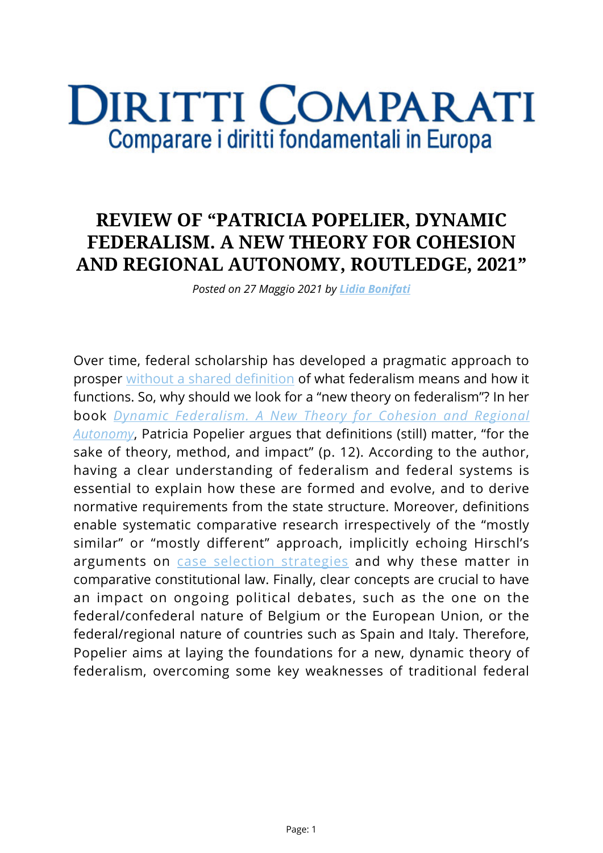## **DIRITTI COMPARATI** Comparare i diritti fondamentali in Europa

## **REVIEW OF "PATRICIA POPELIER, DYNAMIC FEDERALISM. A NEW THEORY FOR COHESION AND REGIONAL AUTONOMY, ROUTLEDGE, 2021"**

*Posted on 27 Maggio 2021 by [Lidia Bonifati](https://www.diritticomparati.it/autore/lidia-bonifati/)*

Over time, federal scholarship has developed a pragmatic approach to prosper [without a shared definition](https://www.cambridge.org/core/journals/german-law-journal/article/global-theory-of-federalism-the-nature-and-challenges-of-a-federal-state/47BBA93E57C1EE336E1E670EE48E7152) of what federalism means and how it functions. So, why should we look for a "new theory on federalism"? In her book *[Dynamic Federalism. A New Theory for Cohesion and Regional](https://www.routledge.com/Dynamic-Federalism-A-New-Theory-for-Cohesion-and-Regional-Autonomy/Popelier/p/book/9780367652821) [Autonomy](https://www.routledge.com/Dynamic-Federalism-A-New-Theory-for-Cohesion-and-Regional-Autonomy/Popelier/p/book/9780367652821)*, Patricia Popelier argues that definitions (still) matter, "for the sake of theory, method, and impact" (p. 12). According to the author, having a clear understanding of federalism and federal systems is essential to explain how these are formed and evolve, and to derive normative requirements from the state structure. Moreover, definitions enable systematic comparative research irrespectively of the "mostly similar" or "mostly different" approach, implicitly echoing Hirschl's arguments on [case selection strategies](https://www.jstor.org/stable/30038689?seq=1#metadata_info_tab_contents) and why these matter in comparative constitutional law. Finally, clear concepts are crucial to have an impact on ongoing political debates, such as the one on the federal/confederal nature of Belgium or the European Union, or the federal/regional nature of countries such as Spain and Italy. Therefore, Popelier aims at laying the foundations for a new, dynamic theory of federalism, overcoming some key weaknesses of traditional federal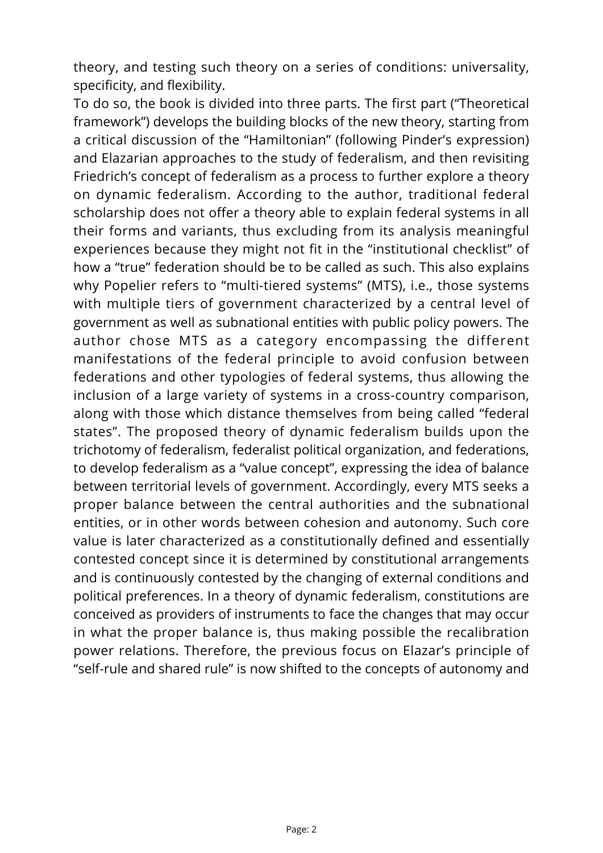theory, and testing such theory on a series of conditions: universality, specificity, and flexibility.

To do so, the book is divided into three parts. The first part ("Theoretical framework") develops the building blocks of the new theory, starting from a critical discussion of the "Hamiltonian" (following Pinder's expression) and Elazarian approaches to the study of federalism, and then revisiting Friedrich's concept of federalism as a process to further explore a theory on dynamic federalism. According to the author, traditional federal scholarship does not offer a theory able to explain federal systems in all their forms and variants, thus excluding from its analysis meaningful experiences because they might not fit in the "institutional checklist" of how a "true" federation should be to be called as such. This also explains why Popelier refers to "multi-tiered systems" (MTS), i.e., those systems with multiple tiers of government characterized by a central level of government as well as subnational entities with public policy powers. The author chose MTS as a category encompassing the different manifestations of the federal principle to avoid confusion between federations and other typologies of federal systems, thus allowing the inclusion of a large variety of systems in a cross-country comparison, along with those which distance themselves from being called "federal states". The proposed theory of dynamic federalism builds upon the trichotomy of federalism, federalist political organization, and federations, to develop federalism as a "value concept", expressing the idea of balance between territorial levels of government. Accordingly, every MTS seeks a proper balance between the central authorities and the subnational entities, or in other words between cohesion and autonomy. Such core value is later characterized as a constitutionally defined and essentially contested concept since it is determined by constitutional arrangements and is continuously contested by the changing of external conditions and political preferences. In a theory of dynamic federalism, constitutions are conceived as providers of instruments to face the changes that may occur in what the proper balance is, thus making possible the recalibration power relations. Therefore, the previous focus on Elazar's principle of "self-rule and shared rule" is now shifted to the concepts of autonomy and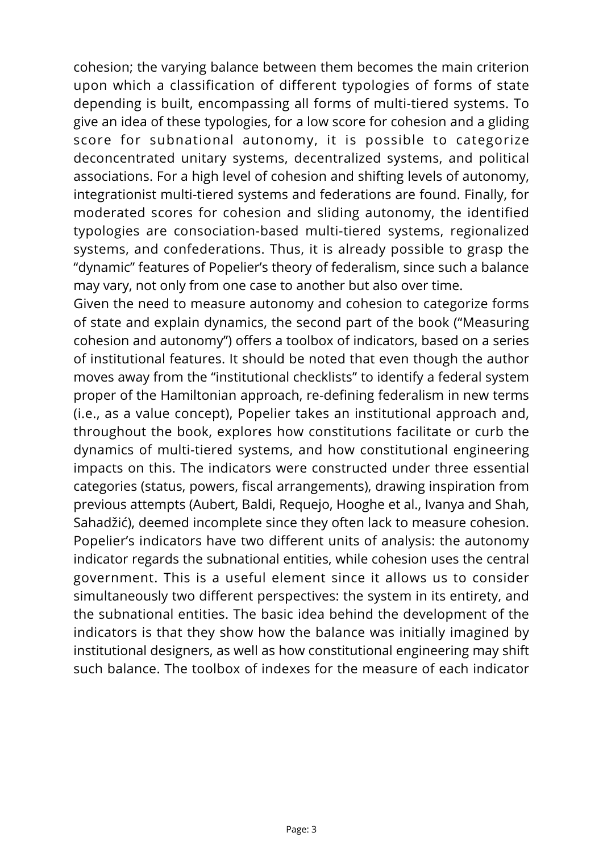cohesion; the varying balance between them becomes the main criterion upon which a classification of different typologies of forms of state depending is built, encompassing all forms of multi-tiered systems. To give an idea of these typologies, for a low score for cohesion and a gliding score for subnational autonomy, it is possible to categorize deconcentrated unitary systems, decentralized systems, and political associations. For a high level of cohesion and shifting levels of autonomy, integrationist multi-tiered systems and federations are found. Finally, for moderated scores for cohesion and sliding autonomy, the identified typologies are consociation-based multi-tiered systems, regionalized systems, and confederations. Thus, it is already possible to grasp the "dynamic" features of Popelier's theory of federalism, since such a balance may vary, not only from one case to another but also over time.

Given the need to measure autonomy and cohesion to categorize forms of state and explain dynamics, the second part of the book ("Measuring cohesion and autonomy") offers a toolbox of indicators, based on a series of institutional features. It should be noted that even though the author moves away from the "institutional checklists" to identify a federal system proper of the Hamiltonian approach, re-defining federalism in new terms (i.e., as a value concept), Popelier takes an institutional approach and, throughout the book, explores how constitutions facilitate or curb the dynamics of multi-tiered systems, and how constitutional engineering impacts on this. The indicators were constructed under three essential categories (status, powers, fiscal arrangements), drawing inspiration from previous attempts (Aubert, Baldi, Requejo, Hooghe et al., Ivanya and Shah, Sahadžić), deemed incomplete since they often lack to measure cohesion. Popelier's indicators have two different units of analysis: the autonomy indicator regards the subnational entities, while cohesion uses the central government. This is a useful element since it allows us to consider simultaneously two different perspectives: the system in its entirety, and the subnational entities. The basic idea behind the development of the indicators is that they show how the balance was initially imagined by institutional designers, as well as how constitutional engineering may shift such balance. The toolbox of indexes for the measure of each indicator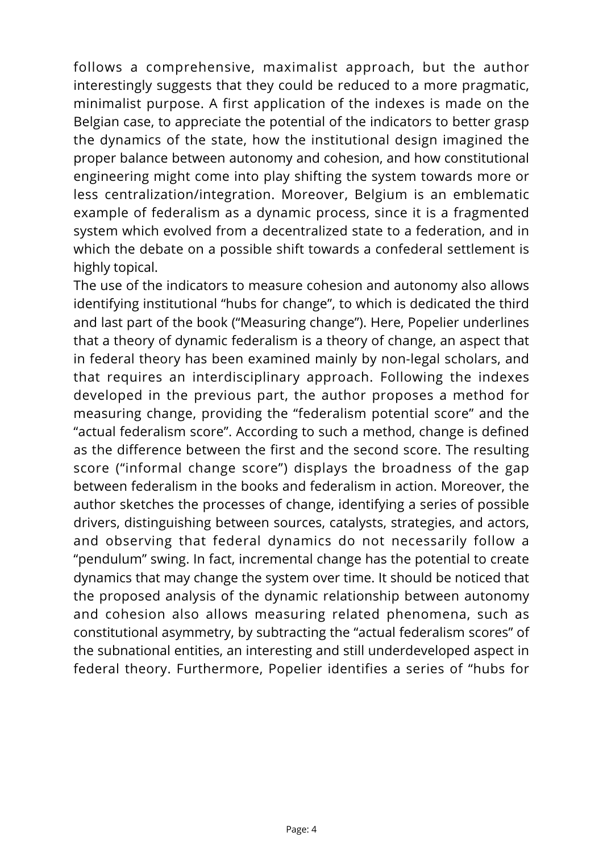follows a comprehensive, maximalist approach, but the author interestingly suggests that they could be reduced to a more pragmatic, minimalist purpose. A first application of the indexes is made on the Belgian case, to appreciate the potential of the indicators to better grasp the dynamics of the state, how the institutional design imagined the proper balance between autonomy and cohesion, and how constitutional engineering might come into play shifting the system towards more or less centralization/integration. Moreover, Belgium is an emblematic example of federalism as a dynamic process, since it is a fragmented system which evolved from a decentralized state to a federation, and in which the debate on a possible shift towards a confederal settlement is highly topical.

The use of the indicators to measure cohesion and autonomy also allows identifying institutional "hubs for change", to which is dedicated the third and last part of the book ("Measuring change"). Here, Popelier underlines that a theory of dynamic federalism is a theory of change, an aspect that in federal theory has been examined mainly by non-legal scholars, and that requires an interdisciplinary approach. Following the indexes developed in the previous part, the author proposes a method for measuring change, providing the "federalism potential score" and the "actual federalism score". According to such a method, change is defined as the difference between the first and the second score. The resulting score ("informal change score") displays the broadness of the gap between federalism in the books and federalism in action. Moreover, the author sketches the processes of change, identifying a series of possible drivers, distinguishing between sources, catalysts, strategies, and actors, and observing that federal dynamics do not necessarily follow a "pendulum" swing. In fact, incremental change has the potential to create dynamics that may change the system over time. It should be noticed that the proposed analysis of the dynamic relationship between autonomy and cohesion also allows measuring related phenomena, such as constitutional asymmetry, by subtracting the "actual federalism scores" of the subnational entities, an interesting and still underdeveloped aspect in federal theory. Furthermore, Popelier identifies a series of "hubs for